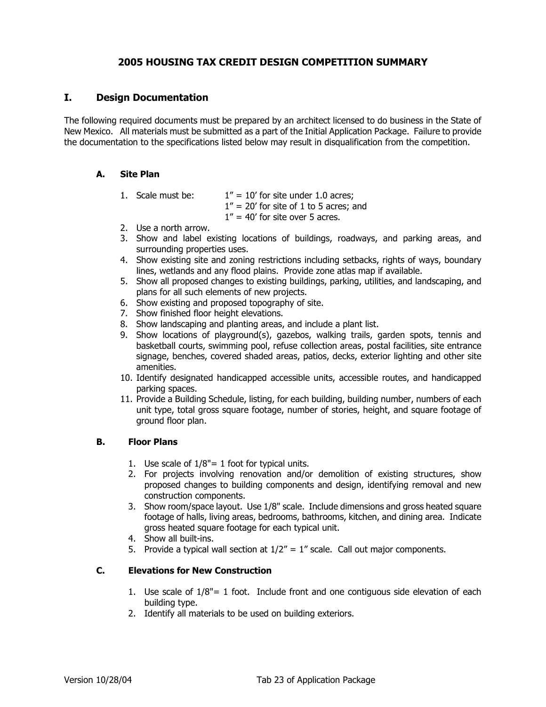# **2005 HOUSING TAX CREDIT DESIGN COMPETITION SUMMARY**

## **I. Design Documentation**

The following required documents must be prepared by an architect licensed to do business in the State of New Mexico. All materials must be submitted as a part of the Initial Application Package. Failure to provide the documentation to the specifications listed below may result in disqualification from the competition.

#### **A. Site Plan**

1. Scale must be:  $1'' = 10'$  for site under 1.0 acres;  $1'' = 20'$  for site of 1 to 5 acres; and

 $1'' = 40'$  for site over 5 acres.

- 2. Use a north arrow.
- 3. Show and label existing locations of buildings, roadways, and parking areas, and surrounding properties uses.
- 4. Show existing site and zoning restrictions including setbacks, rights of ways, boundary lines, wetlands and any flood plains. Provide zone atlas map if available.
- 5. Show all proposed changes to existing buildings, parking, utilities, and landscaping, and plans for all such elements of new projects.
- 6. Show existing and proposed topography of site.
- 7. Show finished floor height elevations.
- 8. Show landscaping and planting areas, and include a plant list.
- 9. Show locations of playground(s), gazebos, walking trails, garden spots, tennis and basketball courts, swimming pool, refuse collection areas, postal facilities, site entrance signage, benches, covered shaded areas, patios, decks, exterior lighting and other site amenities.
- 10. Identify designated handicapped accessible units, accessible routes, and handicapped parking spaces.
- 11. Provide a Building Schedule, listing, for each building, building number, numbers of each unit type, total gross square footage, number of stories, height, and square footage of ground floor plan.

#### **B. Floor Plans**

- 1. Use scale of 1/8"= 1 foot for typical units.
- 2. For projects involving renovation and/or demolition of existing structures, show proposed changes to building components and design, identifying removal and new construction components.
- 3. Show room/space layout. Use 1/8" scale. Include dimensions and gross heated square footage of halls, living areas, bedrooms, bathrooms, kitchen, and dining area. Indicate gross heated square footage for each typical unit.
- 4. Show all built-ins.
- 5. Provide a typical wall section at  $1/2'' = 1''$  scale. Call out major components.

## **C. Elevations for New Construction**

- 1. Use scale of  $1/8" = 1$  foot. Include front and one contiguous side elevation of each building type.
- 2. Identify all materials to be used on building exteriors.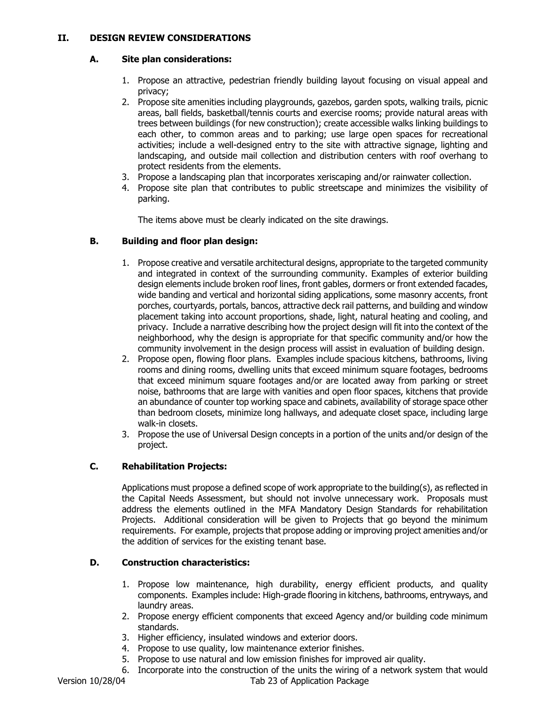## **II. DESIGN REVIEW CONSIDERATIONS**

#### **A. Site plan considerations:**

- 1. Propose an attractive, pedestrian friendly building layout focusing on visual appeal and privacy;
- 2. Propose site amenities including playgrounds, gazebos, garden spots, walking trails, picnic areas, ball fields, basketball/tennis courts and exercise rooms; provide natural areas with trees between buildings (for new construction); create accessible walks linking buildings to each other, to common areas and to parking; use large open spaces for recreational activities; include a well-designed entry to the site with attractive signage, lighting and landscaping, and outside mail collection and distribution centers with roof overhang to protect residents from the elements.
- 3. Propose a landscaping plan that incorporates xeriscaping and/or rainwater collection.
- 4. Propose site plan that contributes to public streetscape and minimizes the visibility of parking.

The items above must be clearly indicated on the site drawings.

### **B. Building and floor plan design:**

- 1. Propose creative and versatile architectural designs, appropriate to the targeted community and integrated in context of the surrounding community. Examples of exterior building design elements include broken roof lines, front gables, dormers or front extended facades, wide banding and vertical and horizontal siding applications, some masonry accents, front porches, courtyards, portals, bancos, attractive deck rail patterns, and building and window placement taking into account proportions, shade, light, natural heating and cooling, and privacy. Include a narrative describing how the project design will fit into the context of the neighborhood, why the design is appropriate for that specific community and/or how the community involvement in the design process will assist in evaluation of building design.
- 2. Propose open, flowing floor plans. Examples include spacious kitchens, bathrooms, living rooms and dining rooms, dwelling units that exceed minimum square footages, bedrooms that exceed minimum square footages and/or are located away from parking or street noise, bathrooms that are large with vanities and open floor spaces, kitchens that provide an abundance of counter top working space and cabinets, availability of storage space other than bedroom closets, minimize long hallways, and adequate closet space, including large walk-in closets.
- 3. Propose the use of Universal Design concepts in a portion of the units and/or design of the project.

## **C. Rehabilitation Projects:**

Applications must propose a defined scope of work appropriate to the building(s), as reflected in the Capital Needs Assessment, but should not involve unnecessary work. Proposals must address the elements outlined in the MFA Mandatory Design Standards for rehabilitation Projects. Additional consideration will be given to Projects that go beyond the minimum requirements. For example, projects that propose adding or improving project amenities and/or the addition of services for the existing tenant base.

## **D. Construction characteristics:**

- 1. Propose low maintenance, high durability, energy efficient products, and quality components. Examples include: High-grade flooring in kitchens, bathrooms, entryways, and laundry areas.
- 2. Propose energy efficient components that exceed Agency and/or building code minimum standards.
- 3. Higher efficiency, insulated windows and exterior doors.
- 4. Propose to use quality, low maintenance exterior finishes.
- 5. Propose to use natural and low emission finishes for improved air quality.
- 6. Incorporate into the construction of the units the wiring of a network system that would

Version 10/28/04 Tab 23 of Application Package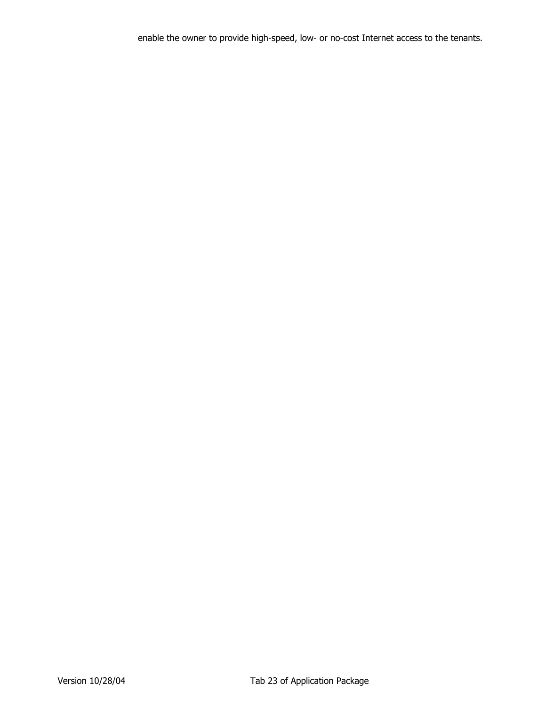enable the owner to provide high-speed, low- or no-cost Internet access to the tenants.